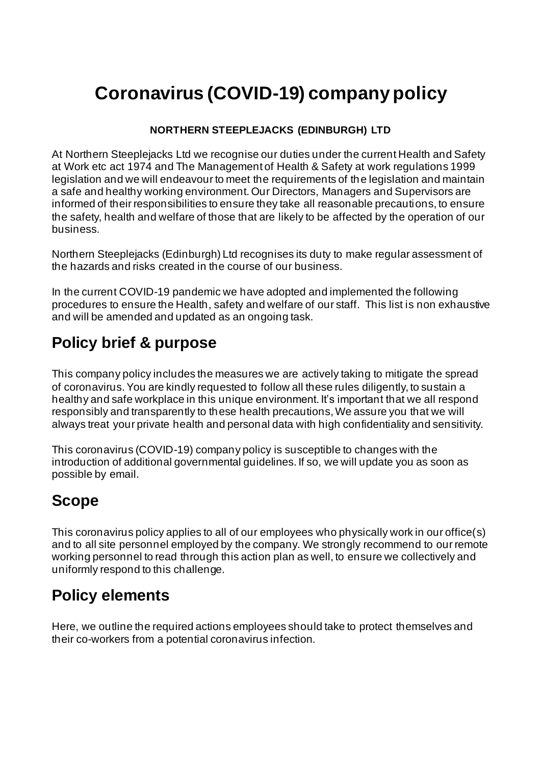# **Coronavirus (COVID-19) company policy**

#### **NORTHERN STEEPLEJACKS (EDINBURGH) LTD**

At Northern Steeplejacks Ltd we recognise our duties under the current Health and Safety at Work etc act 1974 and The Management of Health & Safety at work regulations 1999 legislation and we will endeavour to meet the requirements of the legislation and maintain a safe and healthy working environment. Our Directors, Managers and Supervisors are informed of their responsibilities to ensure they take all reasonable precautions, to ensure the safety, health and welfare of those that are likely to be affected by the operation of our business.

Northern Steeplejacks (Edinburgh) Ltd recognises its duty to make regular assessment of the hazards and risks created in the course of our business.

In the current COVID-19 pandemic we have adopted and implemented the following procedures to ensure the Health, safety and welfare of our staff. This list is non exhaustive and will be amended and updated as an ongoing task.

# **Policy brief & purpose**

This company policy includes the measures we are actively taking to mitigate the spread of coronavirus. You are kindly requested to follow all these rules diligently, to sustain a healthy and safe workplace in this unique environment. It's important that we all respond responsibly and transparently to these health precautions, We assure you that we will always treat your private health and personal data with high confidentiality and sensitivity.

This coronavirus (COVID-19) company policy is susceptible to changes with the introduction of additional governmental guidelines. If so, we will update you as soon as possible by email.

## **Scope**

This coronavirus policy applies to all of our employees who physically work in our office(s) and to all site personnel employed by the company. We strongly recommend to our remote working personnel to read through this action plan as well, to ensure we collectively and uniformly respond to this challenge.

## **Policy elements**

Here, we outline the required actions employees should take to protect themselves and their co-workers from a potential coronavirus infection.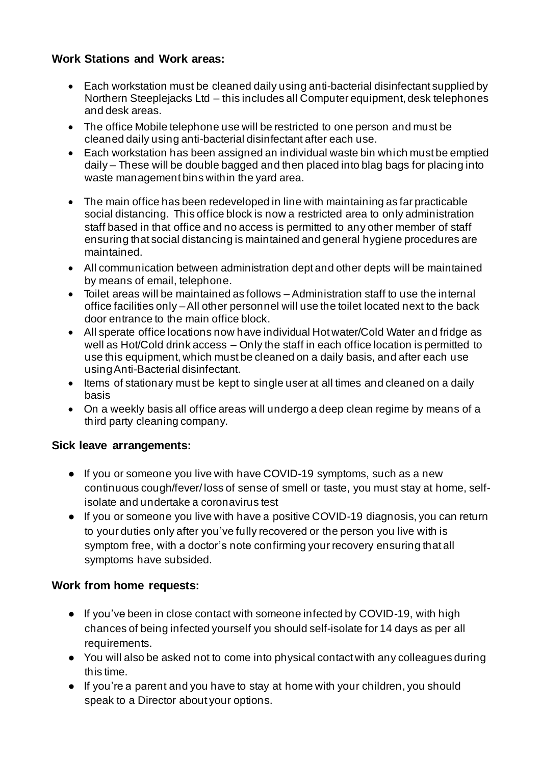### **Work Stations and Work areas:**

- Each workstation must be cleaned daily using anti-bacterial disinfectant supplied by Northern Steeplejacks Ltd – this includes all Computer equipment, desk telephones and desk areas.
- The office Mobile telephone use will be restricted to one person and must be cleaned daily using anti-bacterial disinfectant after each use.
- Each workstation has been assigned an individual waste bin which must be emptied daily – These will be double bagged and then placed into blag bags for placing into waste management bins within the yard area.
- The main office has been redeveloped in line with maintaining as far practicable social distancing. This office block is now a restricted area to only administration staff based in that office and no access is permitted to any other member of staff ensuring that social distancing is maintained and general hygiene procedures are maintained.
- All communication between administration dept and other depts will be maintained by means of email, telephone.
- Toilet areas will be maintained as follows Administration staff to use the internal office facilities only –All other personnel will use the toilet located next to the back door entrance to the main office block.
- All sperate office locations now have individual Hot water/Cold Water an d fridge as well as Hot/Cold drink access – Only the staff in each office location is permitted to use this equipment, which must be cleaned on a daily basis, and after each use using Anti-Bacterial disinfectant.
- Items of stationary must be kept to single user at all times and cleaned on a daily basis
- On a weekly basis all office areas will undergo a deep clean regime by means of a third party cleaning company.

### **Sick leave arrangements:**

- If you or someone you live with have COVID-19 symptoms, such as a new continuous cough/fever/ loss of sense of smell or taste, you must stay at home, selfisolate and undertake a coronavirus test
- If you or someone you live with have a positive COVID-19 diagnosis, you can return to your duties only after you've fully recovered or the person you live with is symptom free, with a doctor's note confirming your recovery ensuring that all symptoms have subsided.

### **Work from home requests:**

- If you've been in close contact with someone infected by COVID-19, with high chances of being infected yourself you should self-isolate for 14 days as per all requirements.
- You will also be asked not to come into physical contact with any colleagues during this time.
- If you're a parent and you have to stay at home with your children, you should speak to a Director about your options.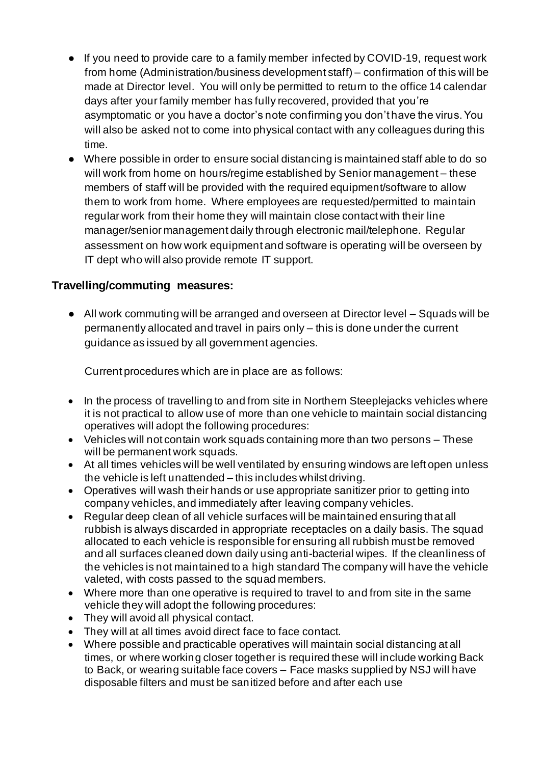- If you need to provide care to a family member infected by COVID-19, request work from home (Administration/business development staff) – confirmation of this will be made at Director level. You will only be permitted to return to the office 14 calendar days after your family member has fully recovered, provided that you're asymptomatic or you have a doctor's note confirming you don't have the virus. You will also be asked not to come into physical contact with any colleagues during this time.
- Where possible in order to ensure social distancing is maintained staff able to do so will work from home on hours/regime established by Senior management – these members of staff will be provided with the required equipment/software to allow them to work from home. Where employees are requested/permitted to maintain regular work from their home they will maintain close contact with their line manager/senior management daily through electronic mail/telephone. Regular assessment on how work equipment and software is operating will be overseen by IT dept who will also provide remote IT support.

### **Travelling/commuting measures:**

● All work commuting will be arranged and overseen at Director level – Squads will be permanently allocated and travel in pairs only – this is done under the current guidance as issued by all government agencies.

Current procedures which are in place are as follows:

- In the process of travelling to and from site in Northern Steeplejacks vehicles where it is not practical to allow use of more than one vehicle to maintain social distancing operatives will adopt the following procedures:
- Vehicles will not contain work squads containing more than two persons These will be permanent work squads.
- At all times vehicles will be well ventilated by ensuring windows are left open unless the vehicle is left unattended – this includes whilst driving.
- Operatives will wash their hands or use appropriate sanitizer prior to getting into company vehicles, and immediately after leaving company vehicles.
- Regular deep clean of all vehicle surfaces will be maintained ensuring that all rubbish is always discarded in appropriate receptacles on a daily basis. The squad allocated to each vehicle is responsible for ensuring all rubbish must be removed and all surfaces cleaned down daily using anti-bacterial wipes. If the cleanliness of the vehicles is not maintained to a high standard The company will have the vehicle valeted, with costs passed to the squad members.
- Where more than one operative is required to travel to and from site in the same vehicle they will adopt the following procedures:
- They will avoid all physical contact.
- They will at all times avoid direct face to face contact.
- Where possible and practicable operatives will maintain social distancing at all times, or where working closer together is required these will include working Back to Back, or wearing suitable face covers – Face masks supplied by NSJ will have disposable filters and must be sanitized before and after each use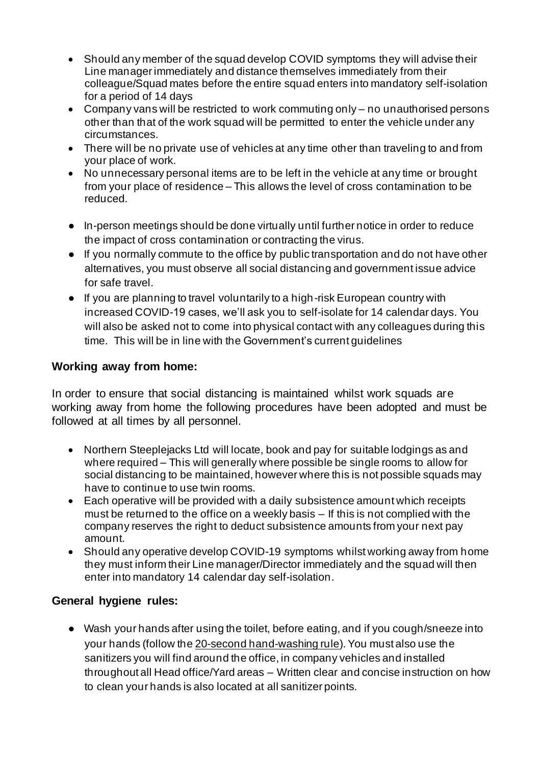- Should any member of the squad develop COVID symptoms they will advise their Line manager immediately and distance themselves immediately from their colleague/Squad mates before the entire squad enters into mandatory self-isolation for a period of 14 days
- Company vans will be restricted to work commuting only no unauthorised persons other than that of the work squad will be permitted to enter the vehicle under any circumstances.
- There will be no private use of vehicles at any time other than traveling to and from your place of work.
- No unnecessary personal items are to be left in the vehicle at any time or brought from your place of residence – This allows the level of cross contamination to be reduced.
- In-person meetings should be done virtually until further notice in order to reduce the impact of cross contamination or contracting the virus.
- If you normally commute to the office by public transportation and do not have other alternatives, you must observe all social distancing and government issue advice for safe travel.
- If you are planning to travel voluntarily to a high-risk European country with increased COVID-19 cases, we'll ask you to self-isolate for 14 calendar days. You will also be asked not to come into physical contact with any colleagues during this time. This will be in line with the Government's current guidelines

### **Working away from home:**

In order to ensure that social distancing is maintained whilst work squads are working away from home the following procedures have been adopted and must be followed at all times by all personnel.

- Northern Steeplejacks Ltd will locate, book and pay for suitable lodgings as and where required – This will generally where possible be single rooms to allow for social distancing to be maintained, however where this is not possible squads may have to continue to use twin rooms.
- Each operative will be provided with a daily subsistence amount which receipts must be returned to the office on a weekly basis – If this is not complied with the company reserves the right to deduct subsistence amounts from your next pay amount.
- Should any operative develop COVID-19 symptoms whilst working away from home they must inform their Line manager/Director immediately and the squad will then enter into mandatory 14 calendar day self-isolation.

### **General hygiene rules:**

● Wash your hands after using the toilet, before eating, and if you cough/sneeze into your hands (follow th[e 20-second hand-washing rule](https://www.washingtonpost.com/lifestyle/2020/03/10/teach-kids-hand-washing-coronavirus/)). You must also use the sanitizers you will find around the office, in company vehicles and installed throughout all Head office/Yard areas – Written clear and concise instruction on how to clean your hands is also located at all sanitizer points.